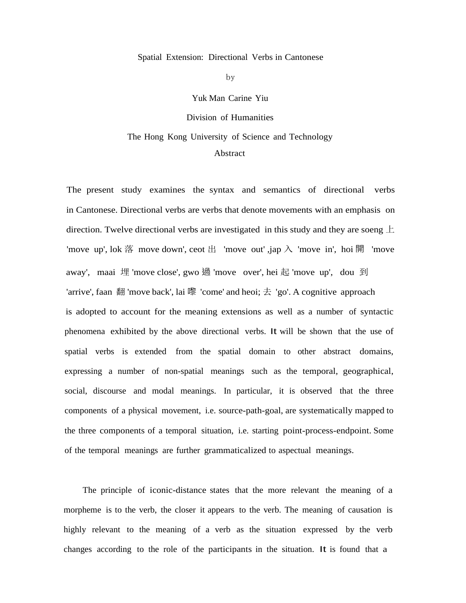## Spatial Extension: Directional Verbs in Cantonese

by

Yuk Man Carine Yiu

Division of Humanities

The Hong Kong University of Science and Technology

## Abstract

The present study examines the syntax and semantics of directional verbs in Cantonese. Directional verbs are verbs that denote movements with an emphasis on direction. Twelve directional verbs are investigated in this study and they are soeng  $\pm$ 'move up', lok 落 move down', ceot 出 'move out', jap  $\lambda$  'move in', hoi 開 'move away', maai 埋 'move close', gwo 過 'move over', hei 起 'move up', dou 到 'arrive', faan 翻 'move back', lai 嚟 'come' and heoi;  $\pm$  'go'. A cognitive approach is adopted to account for the meaning extensions as well as a number of syntactic phenomena exhibited by the above directional verbs. It will be shown that the use of spatial verbs is extended from the spatial domain to other abstract domains, expressing a number of non-spatial meanings such as the temporal, geographical, social, discourse and modal meanings. In particular, it is observed that the three components of a physical movement, i.e. source-path-goal, are systematically mapped to the three components of a temporal situation, i.e. starting point-process-endpoint. Some of the temporal meanings are further grammaticalized to aspectual meanings.

The principle of iconic-distance states that the more relevant the meaning of a morpheme is to the verb, the closer it appears to the verb. The meaning of causation is highly relevant to the meaning of a verb as the situation expressed by the verb changes according to the role of the participants in the situation. It is found that a